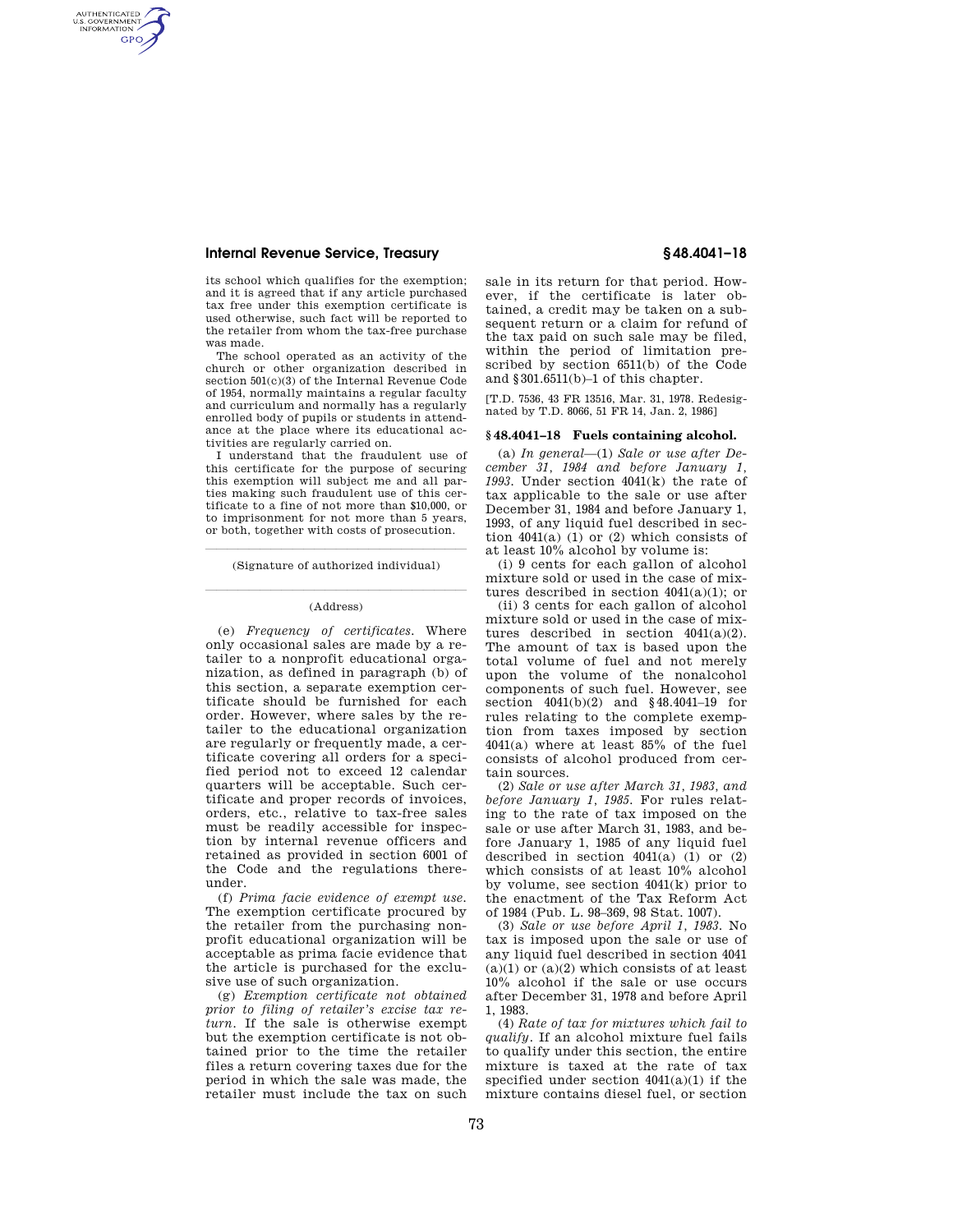## **Internal Revenue Service, Treasury § 48.4041–18**

AUTHENTICATED<br>U.S. GOVERNMENT<br>INFORMATION **GPO** 

> its school which qualifies for the exemption; and it is agreed that if any article purchased tax free under this exemption certificate is used otherwise, such fact will be reported to the retailer from whom the tax-free purchase was made.

> The school operated as an activity of the church or other organization described in section 501(c)(3) of the Internal Revenue Code of 1954, normally maintains a regular faculty and curriculum and normally has a regularly enrolled body of pupils or students in attendance at the place where its educational activities are regularly carried on.

> I understand that the fraudulent use of this certificate for the purpose of securing this exemption will subject me and all parties making such fraudulent use of this certificate to a fine of not more than \$10,000, or to imprisonment for not more than 5 years, or both, together with costs of prosecution.

llland i state av den state av den state av den state av den state av den state av den state av den state av d (Signature of authorized individual)

### llland av den stad av den stad av den stad av den stad av den stad av den stad av den stad av den stad av den (Address)

(e) *Frequency of certificates.* Where only occasional sales are made by a retailer to a nonprofit educational organization, as defined in paragraph (b) of this section, a separate exemption certificate should be furnished for each order. However, where sales by the retailer to the educational organization are regularly or frequently made, a certificate covering all orders for a specified period not to exceed 12 calendar quarters will be acceptable. Such certificate and proper records of invoices, orders, etc., relative to tax-free sales must be readily accessible for inspection by internal revenue officers and retained as provided in section 6001 of the Code and the regulations thereunder.

(f) *Prima facie evidence of exempt use.*  The exemption certificate procured by the retailer from the purchasing nonprofit educational organization will be acceptable as prima facie evidence that the article is purchased for the exclusive use of such organization.

(g) *Exemption certificate not obtained prior to filing of retailer's excise tax return.* If the sale is otherwise exempt but the exemption certificate is not obtained prior to the time the retailer files a return covering taxes due for the period in which the sale was made, the retailer must include the tax on such sale in its return for that period. However, if the certificate is later obtained, a credit may be taken on a subsequent return or a claim for refund of the tax paid on such sale may be filed, within the period of limitation prescribed by section 6511(b) of the Code and §301.6511(b)–1 of this chapter.

[T.D. 7536, 43 FR 13516, Mar. 31, 1978. Redesignated by T.D. 8066, 51 FR 14, Jan. 2, 1986]

### **§ 48.4041–18 Fuels containing alcohol.**

(a) *In general*—(1) *Sale or use after December 31, 1984 and before January 1, 1993.* Under section 4041(k) the rate of tax applicable to the sale or use after December 31, 1984 and before January 1, 1993, of any liquid fuel described in section  $4041(a)$  (1) or (2) which consists of at least 10% alcohol by volume is:

(i) 9 cents for each gallon of alcohol mixture sold or used in the case of mixtures described in section  $4041(a)(1)$ ; or

(ii) 3 cents for each gallon of alcohol mixture sold or used in the case of mixtures described in section  $4041(a)(2)$ . The amount of tax is based upon the total volume of fuel and not merely upon the volume of the nonalcohol components of such fuel. However, see section 4041(b)(2) and §48.4041–19 for rules relating to the complete exemption from taxes imposed by section 4041(a) where at least 85% of the fuel consists of alcohol produced from certain sources.

(2) *Sale or use after March 31, 1983, and before January 1, 1985.* For rules relating to the rate of tax imposed on the sale or use after March 31, 1983, and before January 1, 1985 of any liquid fuel described in section  $4041(a)$  (1) or (2) which consists of at least 10% alcohol by volume, see section 4041(k) prior to the enactment of the Tax Reform Act of 1984 (Pub. L. 98–369, 98 Stat. 1007).

(3) *Sale or use before April 1, 1983.* No tax is imposed upon the sale or use of any liquid fuel described in section 4041  $(a)(1)$  or  $(a)(2)$  which consists of at least 10% alcohol if the sale or use occurs after December 31, 1978 and before April 1, 1983.

(4) *Rate of tax for mixtures which fail to qualify.* If an alcohol mixture fuel fails to qualify under this section, the entire mixture is taxed at the rate of tax specified under section  $4041(a)(1)$  if the mixture contains diesel fuel, or section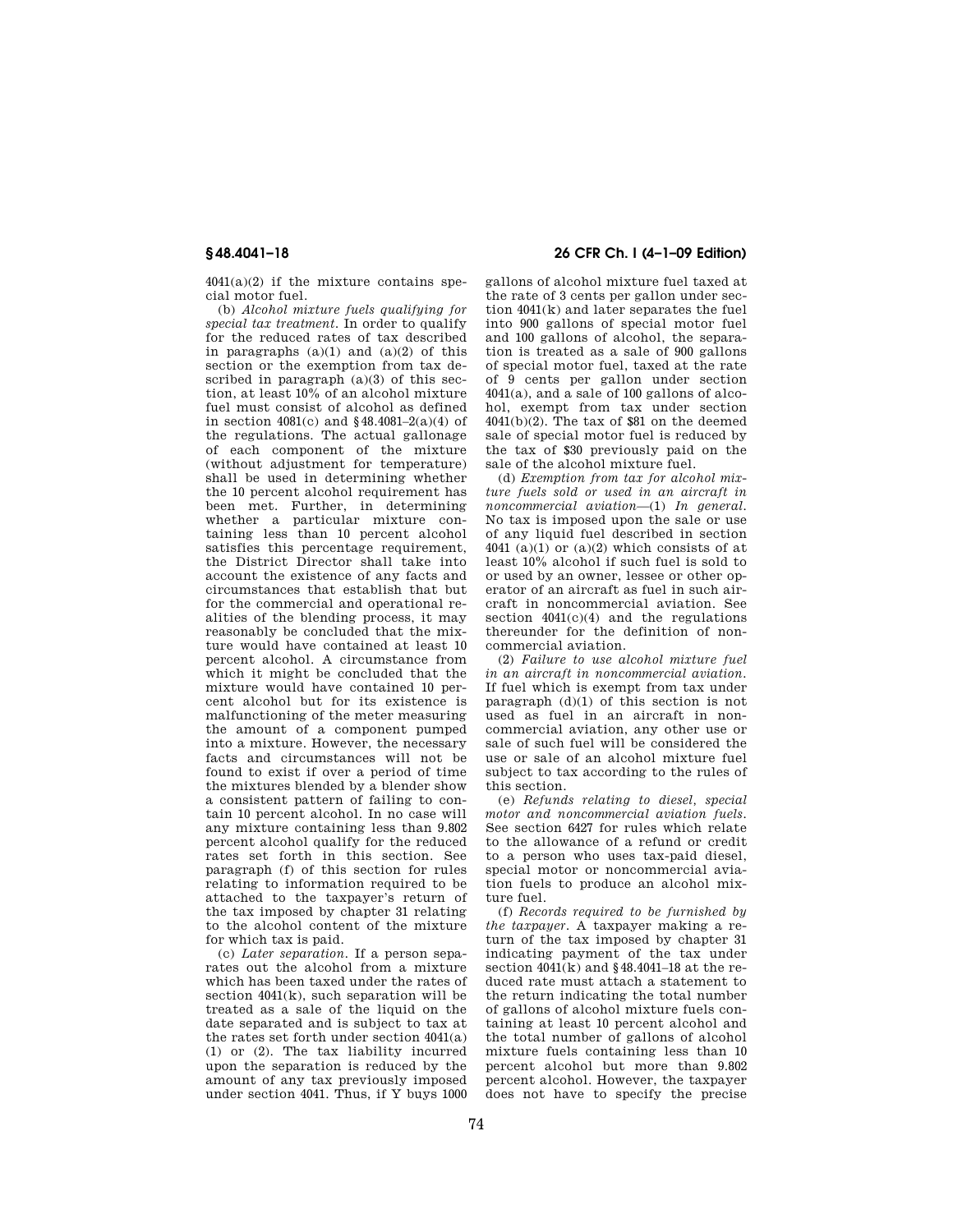$4041(a)(2)$  if the mixture contains special motor fuel.

(b) *Alcohol mixture fuels qualifying for special tax treatment.* In order to qualify for the reduced rates of tax described in paragraphs  $(a)(1)$  and  $(a)(2)$  of this section or the exemption from tax described in paragraph  $(a)(3)$  of this section, at least 10% of an alcohol mixture fuel must consist of alcohol as defined in section  $4081(c)$  and  $$48.4081-2(a)(4)$  of the regulations. The actual gallonage of each component of the mixture (without adjustment for temperature) shall be used in determining whether the 10 percent alcohol requirement has been met. Further, in determining whether a particular mixture containing less than 10 percent alcohol satisfies this percentage requirement, the District Director shall take into account the existence of any facts and circumstances that establish that but for the commercial and operational realities of the blending process, it may reasonably be concluded that the mixture would have contained at least 10 percent alcohol. A circumstance from which it might be concluded that the mixture would have contained 10 percent alcohol but for its existence is malfunctioning of the meter measuring the amount of a component pumped into a mixture. However, the necessary facts and circumstances will not be found to exist if over a period of time the mixtures blended by a blender show a consistent pattern of failing to contain 10 percent alcohol. In no case will any mixture containing less than 9.802 percent alcohol qualify for the reduced rates set forth in this section. See paragraph (f) of this section for rules relating to information required to be attached to the taxpayer's return of the tax imposed by chapter 31 relating to the alcohol content of the mixture for which tax is paid.

(c) *Later separation.* If a person separates out the alcohol from a mixture which has been taxed under the rates of section 4041(k), such separation will be treated as a sale of the liquid on the date separated and is subject to tax at the rates set forth under section 4041(a) (1) or (2). The tax liability incurred upon the separation is reduced by the amount of any tax previously imposed under section 4041. Thus, if Y buys 1000

# **§ 48.4041–18 26 CFR Ch. I (4–1–09 Edition)**

gallons of alcohol mixture fuel taxed at the rate of 3 cents per gallon under section 4041(k) and later separates the fuel into 900 gallons of special motor fuel and 100 gallons of alcohol, the separation is treated as a sale of 900 gallons of special motor fuel, taxed at the rate of 9 cents per gallon under section 4041(a), and a sale of 100 gallons of alcohol, exempt from tax under section 4041(b)(2). The tax of \$81 on the deemed sale of special motor fuel is reduced by the tax of \$30 previously paid on the sale of the alcohol mixture fuel.

(d) *Exemption from tax for alcohol mixture fuels sold or used in an aircraft in noncommercial aviation*—(1) *In general.*  No tax is imposed upon the sale or use of any liquid fuel described in section 4041 (a)(1) or (a)(2) which consists of at least 10% alcohol if such fuel is sold to or used by an owner, lessee or other operator of an aircraft as fuel in such aircraft in noncommercial aviation. See section  $4041(c)(4)$  and the regulations thereunder for the definition of noncommercial aviation.

(2) *Failure to use alcohol mixture fuel in an aircraft in noncommercial aviation.*  If fuel which is exempt from tax under paragraph (d)(1) of this section is not used as fuel in an aircraft in noncommercial aviation, any other use or sale of such fuel will be considered the use or sale of an alcohol mixture fuel subject to tax according to the rules of this section.

(e) *Refunds relating to diesel, special motor and noncommercial aviation fuels.*  See section 6427 for rules which relate to the allowance of a refund or credit to a person who uses tax-paid diesel, special motor or noncommercial aviation fuels to produce an alcohol mixture fuel.

(f) *Records required to be furnished by the taxpayer.* A taxpayer making a return of the tax imposed by chapter 31 indicating payment of the tax under section  $4041(k)$  and  $$48.4041-18$  at the reduced rate must attach a statement to the return indicating the total number of gallons of alcohol mixture fuels containing at least 10 percent alcohol and the total number of gallons of alcohol mixture fuels containing less than 10 percent alcohol but more than 9.802 percent alcohol. However, the taxpayer does not have to specify the precise